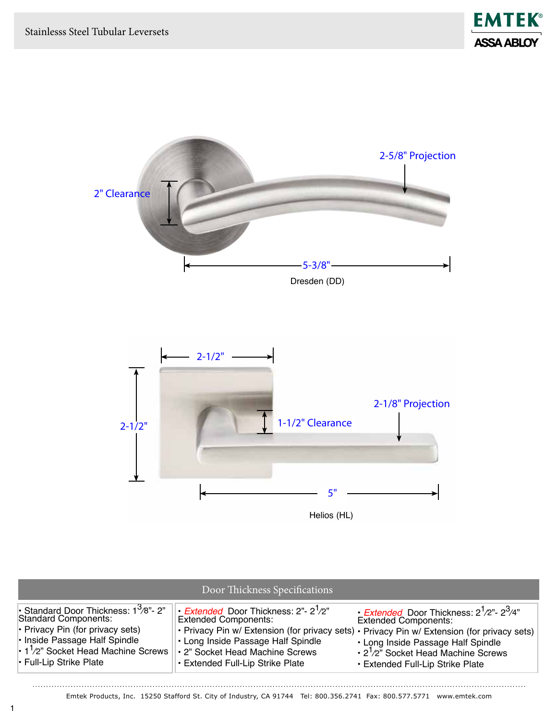. . . . . . . . . . . . . . .



| Door Thickness Specifications                                                                                                                                                                                                   |                                                                                                                                                                                                      |                                                                                                                                                                                                                                                                                                                          |  |
|---------------------------------------------------------------------------------------------------------------------------------------------------------------------------------------------------------------------------------|------------------------------------------------------------------------------------------------------------------------------------------------------------------------------------------------------|--------------------------------------------------------------------------------------------------------------------------------------------------------------------------------------------------------------------------------------------------------------------------------------------------------------------------|--|
| • Standard Door Thickness: $1^3$ /8"- 2"<br>Standard Components:<br>$\cdot$ Privacy Pin (for privacy sets)<br>• Inside Passage Half Spindle<br>$\cdot$ 1 <sup>1</sup> /2" Socket Head Machine Screws<br>• Full-Lip Strike Plate | • <i>Extended</i> Door Thickness: 2"- 2 <sup>1</sup> /2"<br><b>Extended Components:</b><br>• Long Inside Passage Half Spindle<br>• 2" Socket Head Machine Screws<br>• Extended Full-Lip Strike Plate | • <i>Extended</i> Door Thickness: $2^1/2^2$ - $2^3/4^2$<br><b>Extended Components:</b><br>• Privacy Pin w/ Extension (for privacy sets) • Privacy Pin w/ Extension (for privacy sets)<br>• Long Inside Passage Half Spindle<br>$\cdot$ 2 <sup>1</sup> /2" Socket Head Machine Screws<br>• Extended Full-Lip Strike Plate |  |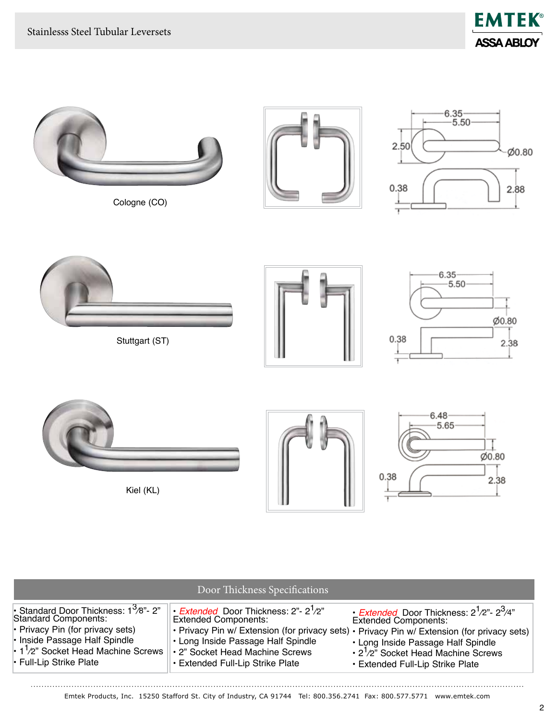. . . . . . . . . . . . . .





| Door Thickness Specifications                                                                                                                                                                                                                    |                                                                                                                                                                                                                                                                                                     |                                                                                                                                                                                                                    |  |
|--------------------------------------------------------------------------------------------------------------------------------------------------------------------------------------------------------------------------------------------------|-----------------------------------------------------------------------------------------------------------------------------------------------------------------------------------------------------------------------------------------------------------------------------------------------------|--------------------------------------------------------------------------------------------------------------------------------------------------------------------------------------------------------------------|--|
| Standard Door Thickness: $1^3$ /8"- 2"<br><b>Standard Components:</b><br>$\cdot$ Privacy Pin (for privacy sets)<br>$\cdot$ Inside Passage Half Spindle<br>$\cdot$ 1 <sup>1</sup> /2" Socket Head Machine Screws<br>$\cdot$ Full-Lip Strike Plate | • <i>Extended</i> Door Thickness: 2"- 2 <sup>1</sup> /2"<br><b>Extended Components:</b><br>. Privacy Pin w/ Extension (for privacy sets) · Privacy Pin w/ Extension (for privacy sets)<br>• Long Inside Passage Half Spindle<br>• 2" Socket Head Machine Screws<br>• Extended Full-Lip Strike Plate | • Extended Door Thickness: $2^1/2^2$ - $2^3/4^2$<br><b>Extended Components:</b><br>• Long Inside Passage Half Spindle<br>$\cdot$ 2 <sup>1</sup> /2" Socket Head Machine Screws<br>• Extended Full-Lip Strike Plate |  |

. . . . . . . . . . . . . . . .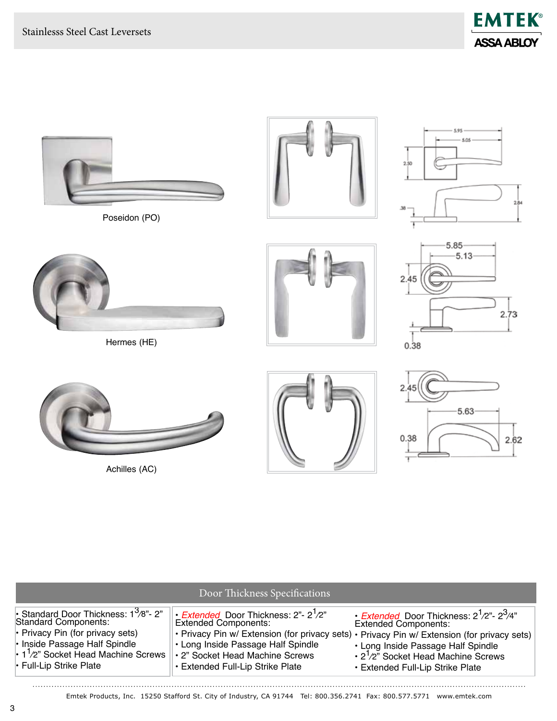



Achilles (AC)



| Door Thickness Specifications                                                                                                                                                                                                   |                                                                                                                                                                                                         |                                                                                                                                                                                                                                                                                                                          |
|---------------------------------------------------------------------------------------------------------------------------------------------------------------------------------------------------------------------------------|---------------------------------------------------------------------------------------------------------------------------------------------------------------------------------------------------------|--------------------------------------------------------------------------------------------------------------------------------------------------------------------------------------------------------------------------------------------------------------------------------------------------------------------------|
| • Standard Door Thickness: $1^3$ /8"- 2"<br>Standard Components:<br>$\cdot$ Privacy Pin (for privacy sets)<br>• Inside Passage Half Spindle<br>$\cdot$ 1 <sup>1</sup> /2" Socket Head Machine Screws<br>• Full-Lip Strike Plate | • <i>Extended</i> Door Thickness: $2^{\nu}$ - $2^{\nu}$ /2"<br><b>Extended Components:</b><br>• Long Inside Passage Half Spindle<br>• 2" Socket Head Machine Screws<br>• Extended Full-Lip Strike Plate | • <i>Extended</i> Door Thickness: $2^1/2^2$ - $2^3/4^2$<br><b>Extended Components:</b><br>• Privacy Pin w/ Extension (for privacy sets) • Privacy Pin w/ Extension (for privacy sets)<br>• Long Inside Passage Half Spindle<br>$\cdot$ 2 <sup>1</sup> /2" Socket Head Machine Screws<br>• Extended Full-Lip Strike Plate |

Emtek Products, Inc. 15250 Stafford St. City of Industry, CA 91744 Tel: 800.356.2741 Fax: 800.577.5771 www.emtek.com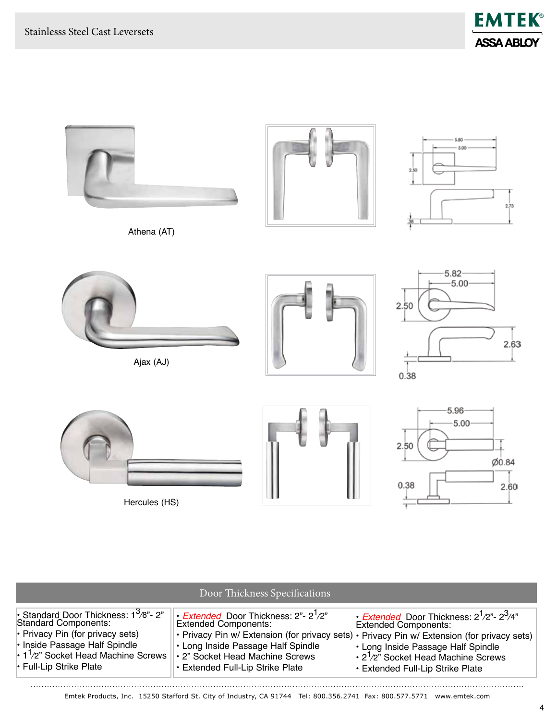



| Door Thickness Specifications                                                                                                                                                                                                          |                                                                                                                                                                                                                                                                                                           |                                                                                                                                                                                                                           |  |
|----------------------------------------------------------------------------------------------------------------------------------------------------------------------------------------------------------------------------------------|-----------------------------------------------------------------------------------------------------------------------------------------------------------------------------------------------------------------------------------------------------------------------------------------------------------|---------------------------------------------------------------------------------------------------------------------------------------------------------------------------------------------------------------------------|--|
| • Standard Door Thickness: $1^3$ /8"- 2"<br><b>Standard Components:</b><br>$\cdot$ Privacy Pin (for privacy sets)<br>• Inside Passage Half Spindle<br>$\cdot$ 1 <sup>1</sup> /2" Socket Head Machine Screws<br>• Full-Lip Strike Plate | $\cdot$ <i>Extended</i> Door Thickness: 2"- 2 <sup>1</sup> /2"<br><b>Extended Components:</b><br>. Privacy Pin w/ Extension (for privacy sets) . Privacy Pin w/ Extension (for privacy sets)<br>• Long Inside Passage Half Spindle<br>• 2" Socket Head Machine Screws<br>• Extended Full-Lip Strike Plate | • <i>Extended</i> Door Thickness: $2^1/2^2$ - $2^3/4^2$<br><b>Extended Components:</b><br>• Long Inside Passage Half Spindle<br>$\cdot$ 2 <sup>1</sup> /2" Socket Head Machine Screws<br>• Extended Full-Lip Strike Plate |  |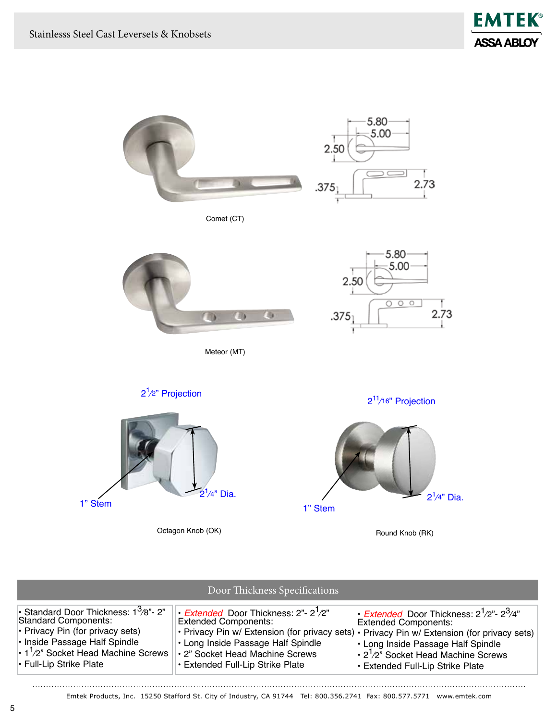



. . . . . . . . . . . . . . . . .

| Door Thickness Specifications                                                                                                                                                                                                   |                                                                                                                                                                                                                         |                                                                                                                                                                                                                                                                                                                   |  |
|---------------------------------------------------------------------------------------------------------------------------------------------------------------------------------------------------------------------------------|-------------------------------------------------------------------------------------------------------------------------------------------------------------------------------------------------------------------------|-------------------------------------------------------------------------------------------------------------------------------------------------------------------------------------------------------------------------------------------------------------------------------------------------------------------|--|
| • Standard Door Thickness: $1^3$ /8"- 2"<br>Standard Components:<br>$\cdot$ Privacy Pin (for privacy sets)<br>• Inside Passage Half Spindle<br>$\cdot$ 1 <sup>1</sup> /2" Socket Head Machine Screws<br>• Full-Lip Strike Plate | • <i>Extended</i> Door Thickness: $2^{\degree}$ - $2^{\degree}/2^{\degree}$<br><b>Extended Components:</b><br>• Long Inside Passage Half Spindle<br>• 2" Socket Head Machine Screws<br>• Extended Full-Lip Strike Plate | • Extended Door Thickness: $2^1/2^2$ - $2^3/4^2$<br><b>Extended Components:</b><br>• Privacy Pin w/ Extension (for privacy sets) • Privacy Pin w/ Extension (for privacy sets)<br>• Long Inside Passage Half Spindle<br>$\cdot$ 2 <sup>1</sup> /2" Socket Head Machine Screws<br>• Extended Full-Lip Strike Plate |  |